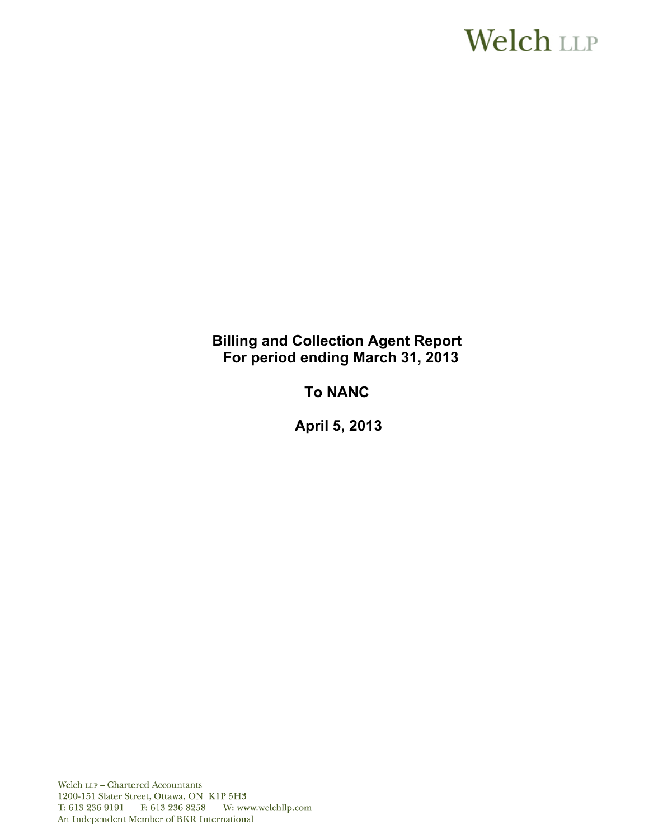# **Welch LLP**

### **Billing and Collection Agent Report For period ending March 31, 2013**

## **To NANC**

 **April 5, 2013**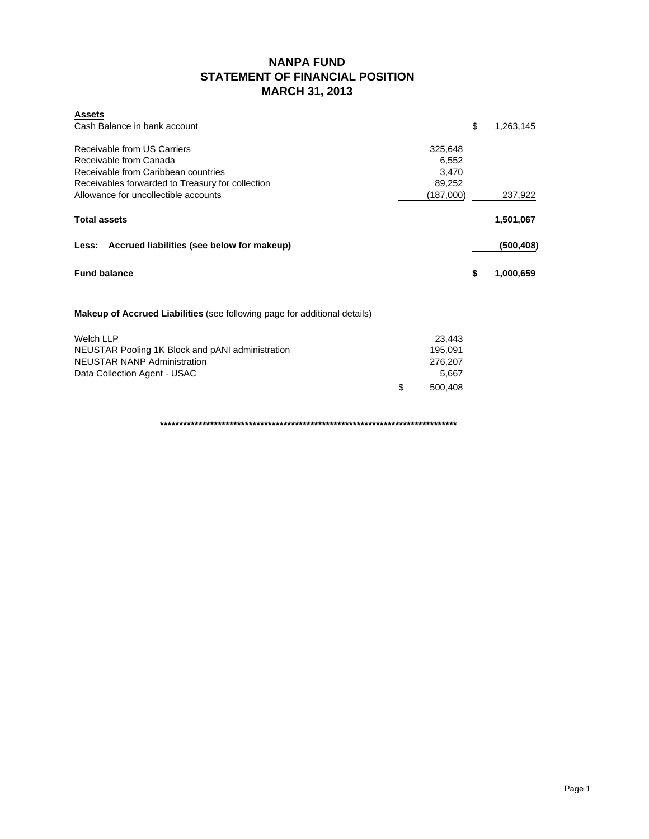### **NANPA FUND STATEMENT OF FINANCIAL POSITION MARCH 31, 2013**

| \$<br>Cash Balance in bank account<br>1,263,145<br>Receivable from US Carriers<br>325,648<br>Receivable from Canada<br>6,552<br>Receivable from Caribbean countries<br>3,470<br>Receivables forwarded to Treasury for collection<br>89,252<br>Allowance for uncollectible accounts<br>(187,000)<br>237,922<br><b>Total assets</b><br>1,501,067<br>Less: Accrued liabilities (see below for makeup)<br>(500,408)<br><b>Fund balance</b><br>1,000,659<br>5<br><b>Makeup of Accrued Liabilities</b> (see following page for additional details)<br>Welch LLP<br>23,443 | <b>Assets</b>                                    |         |  |
|---------------------------------------------------------------------------------------------------------------------------------------------------------------------------------------------------------------------------------------------------------------------------------------------------------------------------------------------------------------------------------------------------------------------------------------------------------------------------------------------------------------------------------------------------------------------|--------------------------------------------------|---------|--|
|                                                                                                                                                                                                                                                                                                                                                                                                                                                                                                                                                                     |                                                  |         |  |
|                                                                                                                                                                                                                                                                                                                                                                                                                                                                                                                                                                     |                                                  |         |  |
|                                                                                                                                                                                                                                                                                                                                                                                                                                                                                                                                                                     |                                                  |         |  |
|                                                                                                                                                                                                                                                                                                                                                                                                                                                                                                                                                                     |                                                  |         |  |
|                                                                                                                                                                                                                                                                                                                                                                                                                                                                                                                                                                     |                                                  |         |  |
|                                                                                                                                                                                                                                                                                                                                                                                                                                                                                                                                                                     |                                                  |         |  |
|                                                                                                                                                                                                                                                                                                                                                                                                                                                                                                                                                                     |                                                  |         |  |
|                                                                                                                                                                                                                                                                                                                                                                                                                                                                                                                                                                     |                                                  |         |  |
|                                                                                                                                                                                                                                                                                                                                                                                                                                                                                                                                                                     |                                                  |         |  |
|                                                                                                                                                                                                                                                                                                                                                                                                                                                                                                                                                                     |                                                  |         |  |
|                                                                                                                                                                                                                                                                                                                                                                                                                                                                                                                                                                     |                                                  |         |  |
|                                                                                                                                                                                                                                                                                                                                                                                                                                                                                                                                                                     |                                                  |         |  |
|                                                                                                                                                                                                                                                                                                                                                                                                                                                                                                                                                                     |                                                  |         |  |
|                                                                                                                                                                                                                                                                                                                                                                                                                                                                                                                                                                     | NEUSTAR Pooling 1K Block and pANI administration | 195,091 |  |

NEUSTAR NANP Administration 276,207<br>Data Collection Agent - USAC 5,667 Data Collection Agent - USAC

**\*\*\*\*\*\*\*\*\*\*\*\*\*\*\*\*\*\*\*\*\*\*\*\*\*\*\*\*\*\*\*\*\*\*\*\*\*\*\*\*\*\*\*\*\*\*\*\*\*\*\*\*\*\*\*\*\*\*\*\*\*\*\*\*\*\*\*\*\*\*\*\*\*\*\*\*\***

\$ 500,408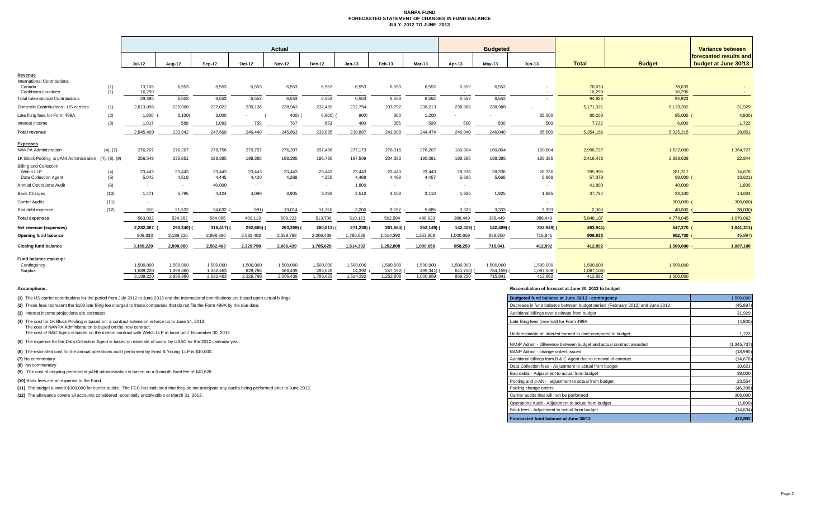### **NANPA FUND FORECASTED STATEMENT OF CHANGES IN FUND BALANCE JULY 2012 TO JUNE 2013**

|                                                                     |               |                        |                        |                          |                      | <b>Actual</b>            |                      |                     |                       |                      |                       | <b>Budgeted</b>          |                         |                         |                     | Variance between                               |  |
|---------------------------------------------------------------------|---------------|------------------------|------------------------|--------------------------|----------------------|--------------------------|----------------------|---------------------|-----------------------|----------------------|-----------------------|--------------------------|-------------------------|-------------------------|---------------------|------------------------------------------------|--|
|                                                                     |               | Jul-12                 | Aug-12                 | Sep-12                   | Oct-12               | <b>Nov-12</b>            | Dec-12               | $Jan-13$            | Feb-13                | Mar-13               | Apr-13                | $May-13$                 | <b>Jun-13</b>           | <b>Total</b>            | <b>Budget</b>       | forecasted results and<br>budget at June 30/13 |  |
| Revenue                                                             |               |                        |                        |                          |                      |                          |                      |                     |                       |                      |                       |                          |                         |                         |                     |                                                |  |
| International Contributions<br>Canada<br>Caribbean countries        | (1)<br>(1)    | 13,106<br>16.290       | 6,553<br>$\sim$        | 6,553<br>$\sim$          | 6,553<br>$\sim$      | 6,553<br>$\sim$          | 6,553<br>$\sim$ $-$  | 6,553<br>$\sim$     | 6,553<br>$\sim$       | 6,552<br>$\sim$      | 6,552<br>$\sim$       | 6,552<br>$\sim$          |                         | 78,633<br>16.290        | 78,633<br>16,290    | $\sim$ $-$                                     |  |
| <b>Total International Contributions</b>                            |               | 29,396                 | 6,553                  | 6,553                    | 6,553                | 6,553                    | 6,553                | 6,553               | 6,553                 | 6,552                | 6,552                 | 6,552                    |                         | 94,923                  | 94,923              |                                                |  |
| Domestic Contributions - US carriers                                | (1)           | 2,813,096              | 229,900                | 237,022                  | 239,136              | 238,943                  | 232.489              | 232,754             | 233,792               | 236,213              | 238,988               | 238,988                  |                         | 5,171,321               | 5,139,392           | 31,929                                         |  |
| Late filing fees for Form 499A                                      | (2)           | $1,900$ (              | 3,100                  | 3,000                    |                      | 400)                     | 6,800)               | 900)                | 300                   | 1,200                |                       |                          | 85,000                  | 80,200                  | 85,000 (            | 4,800                                          |  |
| Interest income                                                     | (3)           | 1,017                  | 589                    | 1,093                    | 759                  | 767                      | 653                  | 480                 | 355                   | 509                  | 500                   | 500                      | 500                     | 7,722                   | 6,000               | 1,722                                          |  |
| <b>Total revenue</b>                                                |               | 2.845.409              | 233.942                | 247,668                  | 246.448              | 245.863                  | 232.895              | 238,887             | 241,000               | 244,474              | 246.040               | 246.040                  | 85,500                  | 5,354,166               | 5,325,315           | 28,851                                         |  |
| <b>Expenses</b><br><b>NANPA Administration</b>                      | (4), (7)      | 276,207                | 276,207                | 278,756                  | 279,757              | 276,207                  | 297,486              | 277,173             | 276,315               | 276,207              | 160,804               | 160,804                  | 160,804                 | 2,996,727               | 1,632,000           | 1,364,727                                      |  |
| 1K Block Pooling & pANI Administration                              | (4), (8), (9) | 256,549                | 235,851                | 188,385                  | 188,385              | 188,385                  | 196,780              | 197,509             | 204,382               | 195,091              | 188,385               | 188,385                  | 188,385                 | 2,416,472               | 2,393,628           | 22,844                                         |  |
| <b>Billing and Collection</b><br>Welch LLP<br>Data Collection Agent | (4)<br>(5)    | 23,443<br>5.042        | 23,443<br>4,518        | 23,443<br>4.445          | 23,443<br>4,420      | 23,443<br>4,268          | 23,443<br>4,255      | 23,443<br>4.488     | 23,443<br>4,488       | 23,443<br>4,457      | 28,336<br>5,666       | 28,336<br>5.666          | 28,336<br>5,666         | 295,995<br>57,379       | 281,317<br>68,000 ( | 14,678<br>10,621                               |  |
| <b>Annual Operations Audit</b>                                      | (6)           | <b>COL</b>             |                        | 40,000                   | $\sim$               | $\overline{\phantom{a}}$ | $\sim$               | 1.800               | $\sim$                | ٠.                   | $\sim$                |                          |                         | 41,800                  | 40,000              | 1,800                                          |  |
| <b>Bank Charges</b>                                                 | (10)          | 1.471                  | 5,795                  | 4,424                    | 4,099                | 3.905                    | 3.492                | 2,510               | 3,153                 | 3.110                | 1,925                 | 1,925                    | 1,925                   | 37,734                  | 23,100              | 14,634                                         |  |
| <b>Carrier Audits</b>                                               | (11)          | $\sim$                 |                        | $\overline{\phantom{a}}$ | $\sim$               |                          | $\sim$               |                     | $\sim$                | $\sim$               | $\sim$                | $\overline{\phantom{a}}$ |                         |                         | 300,000 (           | 300,000                                        |  |
| Bad debt expense                                                    | (12)          | 310                    | 21,532                 | 24,632                   | 991)                 | 13,014                   | 11,750               | 3,200               | 9,197                 | 5,685                | 3,333                 | 3,333                    | 3,333                   | 2.000                   | 40,000              | 38,000                                         |  |
| <b>Total expenses</b>                                               |               | 563,022                | 524,282                | 564,085                  | 499.113              | 509,222                  | 513,706              | 510,123             | 502,584               | 496,623              | 388,449               | 388,449                  | 388,449                 | 5,848,107               | 4,778,045           | 1,070,062                                      |  |
| Net revenue (expenses)                                              |               | 2,282,387              | 290,340)               | 316,417)                 | 252,665)             | 263,359)                 | 280,811)             | 271,236)            | 261,584)              | 252,149)             | 142,409)              | 142,409) (               | 302,949) (              | 493,941)                | 547,270 (           | 1,041,211)                                     |  |
| Opening fund balance                                                |               | 906.833                | 3,189,220              | 2,898,880                | 2,582,463            | 2,329,798                | 2,066,439            | 1,785,628           | 1,514,392             | 1,252,808            | 1,000,659             | 858,250                  | 715,841                 | 906,833                 | 952,730             | 45,897                                         |  |
| <b>Closing fund balance</b>                                         |               | 3,189,220              | 2,898,880              | 2,582,463                | 2,329,798            | 2,066,439                | 1,785,628            | 1,514,392           | 1,252,808             | 1,000,659            | 858.250               | 715,841                  | 412,892                 | 412,892                 | 1,500,000           | 1,087,108                                      |  |
| Fund balance makeup:                                                |               |                        |                        |                          |                      |                          |                      |                     |                       |                      |                       |                          |                         |                         |                     |                                                |  |
| Contingency<br>Surplus                                              |               | 1,500,000<br>1,689,220 | 1,500,000<br>1,398,880 | 1,500,000<br>1,082,463   | 1,500,000<br>829,798 | 1,500,000<br>566,439     | 1,500,000<br>285,628 | 1,500,000<br>14,392 | 1,500,000<br>247,192) | 1,500,000<br>499,341 | 1,500,000<br>641,750) | 1,500,000<br>784,159)    | 1,500,000<br>1,087,108) | 1,500,000<br>1,087,108) | 1,500,000<br>$\sim$ |                                                |  |
|                                                                     |               | 3,189,220              | 2,898,880              | 2,582,463                | 2,329,798            | 2,066,439                | 1,785,628            | 1,514,392           | 1,252,808             | 1,000,659            | 858,250               | 715,841                  | 412,892                 | 412,892                 | 1,500,000           |                                                |  |

**(8)** No commentary

#### **Assumptions: Reconciliation of forecast at June 30, 2013 to budget**

| (1) The US carrier contributions for the period from July 2012 to June 2013 and the International contributions are based upon actual billings.                    | Budgeted fund balance at June 30/13 - contingency                            | 1,500,000   |
|--------------------------------------------------------------------------------------------------------------------------------------------------------------------|------------------------------------------------------------------------------|-------------|
| (2) These fees represent the \$100 late filing fee charged to those companies that do not file the Form 499A by the due date.                                      | Decrease in fund balance between budget period (February 2012) and June 2012 | (45, 897)   |
| (3) Interest income projections are estimates                                                                                                                      | Additional billings over estimate from budget                                | 31,929      |
| (4) The cost for 1K Block Pooling is based on a contract extension in force up to June 14, 2013.<br>The cost of NANPA Administration is based on the new contract. | Late filing fees (reversal) for Form 499A                                    | (4,800)     |
| The cost of B&C Agent is based on the interim contract with Welch LLP in force until November 30, 2013                                                             | Underestimate of interest earned to date compared to budget                  | 1,722       |
| (5) The expense for the Data Collection Agent is based on estimate of costs by USAC for the 2012 calendar year.                                                    | NANP Admin - difference between budget and actual contract awarded           | (1.345.737) |
| (6) The estimated cost for the annual operations audit performed by Ernst & Young LLP is \$40,000.                                                                 | NANP Admin - change orders issued                                            | (18,990)    |
| (7) No commentary                                                                                                                                                  | Additional billings from B & C Agent due to renewal of contract              | (14, 678)   |
| (8) No commentary                                                                                                                                                  | Data Collection fees - Adiustment to actual from budget                      | 10,621      |
| (9) The cost of ongoing permanent pANI administration is based on a 6-month fixed fee of \$40,628                                                                  | Bad debts - Adjustment to actual from budget                                 | 38,000      |
| (10) Bank fees are an expense to the Fund.                                                                                                                         | Pooling and p-ANI - adjustment to actual from budget                         | 23,554      |
| (11) The budget allowed \$300,000 for carrier audits. The FCC has indicated that they do not anticipate any audits being performed prior to June 2013.             | Pooling change orders                                                        | (46, 398)   |
| (12) The allowance covers all accounts considered potentially uncollectible at March 31, 2013.                                                                     | Carrier audits that will not be performed                                    | 300,000     |
|                                                                                                                                                                    | Operations Audit - Adiustment to actual from budget                          | (1,800)     |
|                                                                                                                                                                    | Bank fees - Adjustment to actual from budget                                 | (14, 634)   |
|                                                                                                                                                                    | Forecasted fund balance at June 30/13                                        | 412,892     |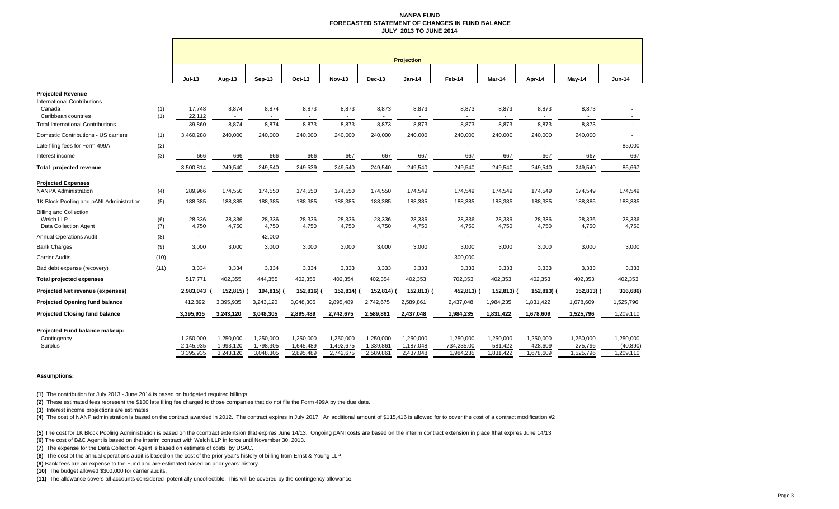#### **NANPA FUND FORECASTED STATEMENT OF CHANGES IN FUND BALANCE JULY 2013 TO JUNE 2014**

|                                          |            |                  |            |            |            |               |           | <b>Projection</b>        |                                   |            |            |            |                          |
|------------------------------------------|------------|------------------|------------|------------|------------|---------------|-----------|--------------------------|-----------------------------------|------------|------------|------------|--------------------------|
|                                          |            | <b>Jul-13</b>    | Aug-13     | Sep-13     | Oct-13     | <b>Nov-13</b> | Dec-13    | <b>Jan-14</b>            | Feb-14                            | Mar-14     | Apr-14     | May-14     | <b>Jun-14</b>            |
| <b>Projected Revenue</b>                 |            |                  |            |            |            |               |           |                          |                                   |            |            |            |                          |
| <b>International Contributions</b>       |            |                  |            |            |            |               |           |                          |                                   |            |            |            |                          |
| Canada<br>Caribbean countries            | (1)<br>(1) | 17,748<br>22,112 | 8,874      | 8,874      | 8,873      | 8,873         | 8,873     | 8,873                    | 8,873<br>$\overline{\phantom{a}}$ | 8,873      | 8,873      | 8,873      |                          |
| <b>Total International Contributions</b> |            | 39,860           | 8,874      | 8,874      | 8,873      | 8,873         | 8,873     | 8,873                    | 8,873                             | 8,873      | 8,873      | 8,873      |                          |
| Domestic Contributions - US carriers     | (1)        | 3,460,288        | 240,000    | 240,000    | 240,000    | 240,000       | 240,000   | 240,000                  | 240,000                           | 240,000    | 240,000    | 240,000    | $\overline{\phantom{a}}$ |
| Late filing fees for Form 499A           | (2)        |                  |            |            | ٠          |               |           |                          | $\sim$                            |            |            |            | 85,000                   |
| Interest income                          | (3)        | 666              | 666        | 666        | 666        | 667           | 667       | 667                      | 667                               | 667        | 667        | 667        | 667                      |
| Total projected revenue                  |            | 3,500,814        | 249,540    | 249,540    | 249,539    | 249,540       | 249,540   | 249,540                  | 249,540                           | 249,540    | 249,540    | 249,540    | 85,667                   |
| <b>Projected Expenses</b>                |            |                  |            |            |            |               |           |                          |                                   |            |            |            |                          |
| <b>NANPA Administration</b>              | (4)        | 289,966          | 174,550    | 174,550    | 174,550    | 174,550       | 174,550   | 174,549                  | 174,549                           | 174,549    | 174,549    | 174,549    | 174,549                  |
| 1K Block Pooling and pANI Administration | (5)        | 188,385          | 188,385    | 188,385    | 188,385    | 188,385       | 188,385   | 188,385                  | 188,385                           | 188,385    | 188,385    | 188,385    | 188,385                  |
| <b>Billing and Collection</b>            |            |                  |            |            |            |               |           |                          |                                   |            |            |            |                          |
| Welch LLP                                | (6)        | 28,336           | 28,336     | 28,336     | 28,336     | 28,336        | 28,336    | 28,336                   | 28,336                            | 28,336     | 28,336     | 28,336     | 28,336                   |
| Data Collection Agent                    | (7)        | 4,750            | 4,750      | 4,750      | 4,750      | 4,750         | 4,750     | 4,750                    | 4,750                             | 4,750      | 4,750      | 4,750      | 4,750                    |
| <b>Annual Operations Audit</b>           | (8)        |                  | ٠          | 42,000     |            |               | $\sim$    | $\overline{\phantom{a}}$ |                                   |            |            |            |                          |
| <b>Bank Charges</b>                      | (9)        | 3,000            | 3,000      | 3,000      | 3,000      | 3,000         | 3,000     | 3,000                    | 3,000                             | 3,000      | 3,000      | 3,000      | 3,000                    |
| <b>Carrier Audits</b>                    | (10)       |                  |            |            |            |               |           |                          | 300,000                           |            |            |            |                          |
| Bad debt expense (recovery)              | (11)       | 3,334            | 3,334      | 3,334      | 3,334      | 3,333         | 3,333     | 3,333                    | 3,333                             | 3,333      | 3,333      | 3,333      | 3,333                    |
| <b>Total projected expenses</b>          |            | 517,771          | 402,355    | 444,355    | 402,355    | 402,354       | 402,354   | 402,353                  | 702,353                           | 402,353    | 402,353    | 402,353    | 402,353                  |
| Projected Net revenue (expenses)         |            | 2,983,043        | 152,815) ( | 194,815) ( | 152,816) ( | 152,814)      | 152,814)  | 152,813) (               | 452,813) (                        | 152,813) ( | 152,813) ( | 152,813) ( | 316,686)                 |
| <b>Projected Opening fund balance</b>    |            | 412,892          | 3,395,935  | 3,243,120  | 3,048,305  | 2,895,489     | 2,742,675 | 2,589,861                | 2,437,048                         | 1,984,235  | 1,831,422  | 1,678,609  | 1,525,796                |
| Projected Closing fund balance           |            | 3,395,935        | 3,243,120  | 3,048,305  | 2,895,489  | 2,742,675     | 2,589,861 | 2,437,048                | 1,984,235                         | 1,831,422  | 1,678,609  | 1,525,796  | 1,209,110                |
| Projected Fund balance makeup:           |            |                  |            |            |            |               |           |                          |                                   |            |            |            |                          |
| Contingency                              |            | 1,250,000        | 1,250,000  | 1.250.000  | 1,250,000  | 1,250,000     | 1,250,000 | 1,250,000                | 1,250,000                         | 1,250,000  | 1,250,000  | 1,250,000  | 1,250,000                |
| Surplus                                  |            | 2,145,935        | 1,993,120  | 1,798,305  | 1,645,489  | 1,492,675     | 1,339,861 | 1,187,048                | 734,235.00                        | 581,422    | 428,609    | 275,796    | (40, 890)                |
|                                          |            | 3,395,935        | 3,243,120  | 3,048,305  | 2,895,489  | 2,742,675     | 2,589,861 | 2,437,048                | 1,984,235                         | 1,831,422  | 1,678,609  | 1,525,796  | 1,209,110                |

#### **Assumptions:**

**(1)** The contribution for July 2013 - June 2014 is based on budgeted required billings

**(2)** These estimated fees represent the \$100 late filing fee charged to those companies that do not file the Form 499A by the due date.

**(3)** Interest income projections are estimates

(4) The cost of NANP administration is based on the contract awarded in 2012. The contract expires in July 2017. An additional amount of \$115,416 is allowed for to cover the cost of a contract modification #2

**(5)** The cost for 1K Block Pooling Administration is based on the ccontract extentsion that expires June 14/13. Ongoing pANI costs are based on the interim contract extension in place fthat expires June 14/13

**(6)** The cost of B&C Agent is based on the interim contract with Welch LLP in force until November 30, 2013.

**(7)** The expense for the Data Collection Agent is based on estimate of costs by USAC.

**(8)** The cost of the annual operations audit is based on the cost of the prior year's history of billing from Ernst & Young LLP.

**(9)** Bank fees are an expense to the Fund and are estimated based on prior years' history.

**(10)** The budget allowed \$300,000 for carrier audits.

**(11)** The allowance covers all accounts considered potentially uncollectible. This will be covered by the contingency allowance.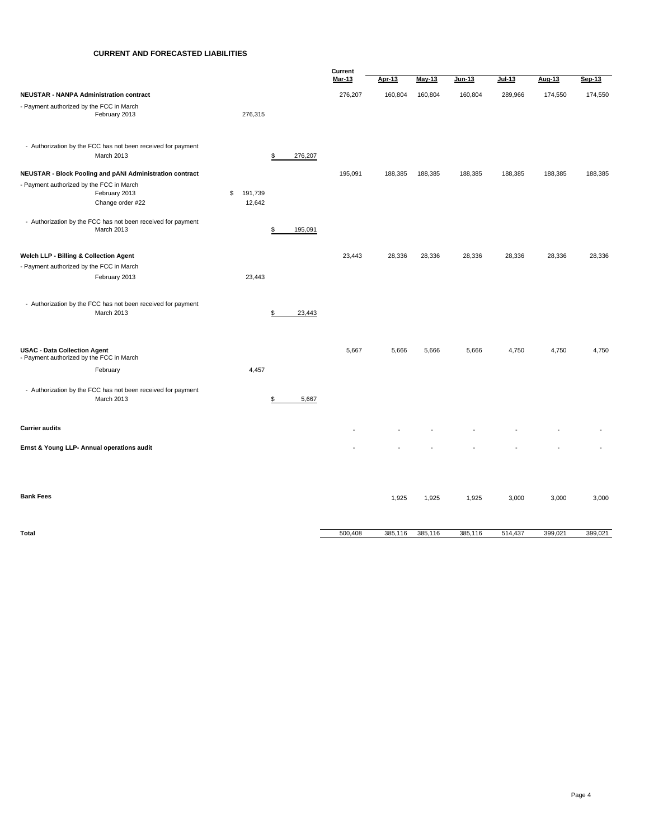### **CURRENT AND FORECASTED LIABILITIES**

|                                                                                 |                      |         | Current       |         |               |         |               |         |         |
|---------------------------------------------------------------------------------|----------------------|---------|---------------|---------|---------------|---------|---------------|---------|---------|
|                                                                                 |                      |         | <b>Mar-13</b> | Apr-13  | <b>May-13</b> | Jun-13  | <b>Jul-13</b> | Aug-13  | Sep-13  |
| NEUSTAR - NANPA Administration contract                                         |                      |         | 276,207       | 160,804 | 160,804       | 160,804 | 289,966       | 174,550 | 174,550 |
| - Payment authorized by the FCC in March<br>February 2013                       | 276,315              |         |               |         |               |         |               |         |         |
| - Authorization by the FCC has not been received for payment<br>March 2013      | \$                   | 276,207 |               |         |               |         |               |         |         |
| <b>NEUSTAR - Block Pooling and pANI Administration contract</b>                 |                      |         | 195,091       | 188,385 | 188,385       | 188,385 | 188,385       | 188,385 | 188,385 |
| - Payment authorized by the FCC in March<br>February 2013<br>Change order #22   | \$ 191,739<br>12,642 |         |               |         |               |         |               |         |         |
| - Authorization by the FCC has not been received for payment<br>March 2013      | \$                   | 195,091 |               |         |               |         |               |         |         |
| Welch LLP - Billing & Collection Agent                                          |                      |         | 23,443        | 28,336  | 28,336        | 28,336  | 28,336        | 28,336  | 28,336  |
| - Payment authorized by the FCC in March                                        |                      |         |               |         |               |         |               |         |         |
| February 2013                                                                   | 23,443               |         |               |         |               |         |               |         |         |
| - Authorization by the FCC has not been received for payment<br>March 2013      | \$                   | 23,443  |               |         |               |         |               |         |         |
| <b>USAC - Data Collection Agent</b><br>- Payment authorized by the FCC in March |                      |         | 5,667         | 5,666   | 5,666         | 5,666   | 4,750         | 4,750   | 4,750   |
| February                                                                        | 4,457                |         |               |         |               |         |               |         |         |
| - Authorization by the FCC has not been received for payment<br>March 2013      | \$                   | 5,667   |               |         |               |         |               |         |         |
| <b>Carrier audits</b>                                                           |                      |         |               |         |               |         |               |         |         |
| Ernst & Young LLP- Annual operations audit                                      |                      |         |               |         |               |         |               |         |         |
|                                                                                 |                      |         |               |         |               |         |               |         |         |
| <b>Bank Fees</b>                                                                |                      |         |               | 1,925   | 1,925         | 1,925   | 3,000         | 3,000   | 3,000   |
| Total                                                                           |                      |         | 500,408       | 385,116 | 385,116       | 385,116 | 514,437       | 399,021 | 399,021 |